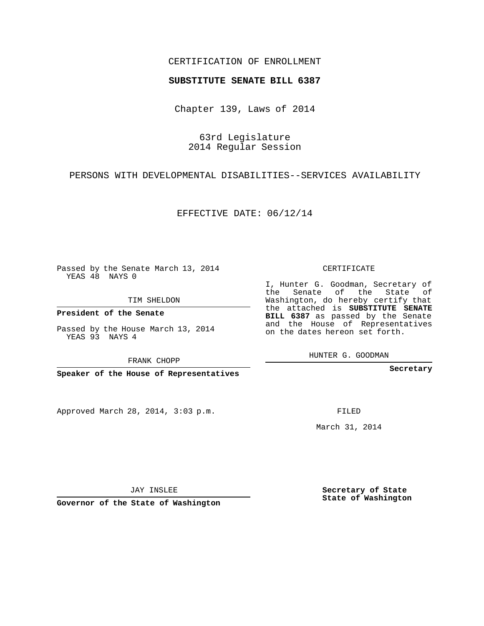## CERTIFICATION OF ENROLLMENT

### **SUBSTITUTE SENATE BILL 6387**

Chapter 139, Laws of 2014

63rd Legislature 2014 Regular Session

PERSONS WITH DEVELOPMENTAL DISABILITIES--SERVICES AVAILABILITY

EFFECTIVE DATE: 06/12/14

 $\sim$   $\sim$ 

Passed by the Senate March 13, 2014 YEAS 48 NAYS 0

TIM SHELDON

**President of the Senate**

Passed by the House March 13, 2014 YEAS 93 NAYS 4

FRANK CHOPP

**Speaker of the House of Representatives**

Approved March 28, 2014, 3:03 p.m.

CERTIFICATE

I, Hunter G. Goodman, Secretary of the Senate of the State of Washington, do hereby certify that the attached is **SUBSTITUTE SENATE BILL 6387** as passed by the Senate and the House of Representatives on the dates hereon set forth.

HUNTER G. GOODMAN

**Secretary**

FILED

March 31, 2014

**Secretary of State State of Washington**

JAY INSLEE

**Governor of the State of Washington**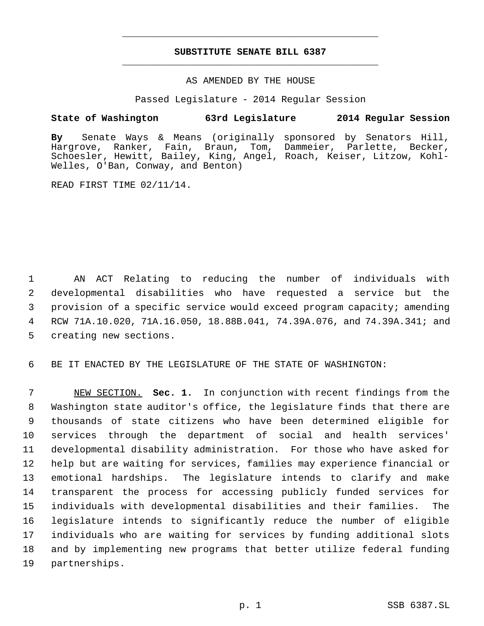# **SUBSTITUTE SENATE BILL 6387** \_\_\_\_\_\_\_\_\_\_\_\_\_\_\_\_\_\_\_\_\_\_\_\_\_\_\_\_\_\_\_\_\_\_\_\_\_\_\_\_\_\_\_\_\_

\_\_\_\_\_\_\_\_\_\_\_\_\_\_\_\_\_\_\_\_\_\_\_\_\_\_\_\_\_\_\_\_\_\_\_\_\_\_\_\_\_\_\_\_\_

### AS AMENDED BY THE HOUSE

Passed Legislature - 2014 Regular Session

## **State of Washington 63rd Legislature 2014 Regular Session**

**By** Senate Ways & Means (originally sponsored by Senators Hill, Hargrove, Ranker, Fain, Braun, Tom, Dammeier, Parlette, Becker, Schoesler, Hewitt, Bailey, King, Angel, Roach, Keiser, Litzow, Kohl-Welles, O'Ban, Conway, and Benton)

READ FIRST TIME 02/11/14.

 AN ACT Relating to reducing the number of individuals with developmental disabilities who have requested a service but the provision of a specific service would exceed program capacity; amending RCW 71A.10.020, 71A.16.050, 18.88B.041, 74.39A.076, and 74.39A.341; and creating new sections.

BE IT ENACTED BY THE LEGISLATURE OF THE STATE OF WASHINGTON:

 NEW SECTION. **Sec. 1.** In conjunction with recent findings from the Washington state auditor's office, the legislature finds that there are thousands of state citizens who have been determined eligible for services through the department of social and health services' developmental disability administration. For those who have asked for help but are waiting for services, families may experience financial or emotional hardships. The legislature intends to clarify and make transparent the process for accessing publicly funded services for individuals with developmental disabilities and their families. The legislature intends to significantly reduce the number of eligible individuals who are waiting for services by funding additional slots and by implementing new programs that better utilize federal funding partnerships.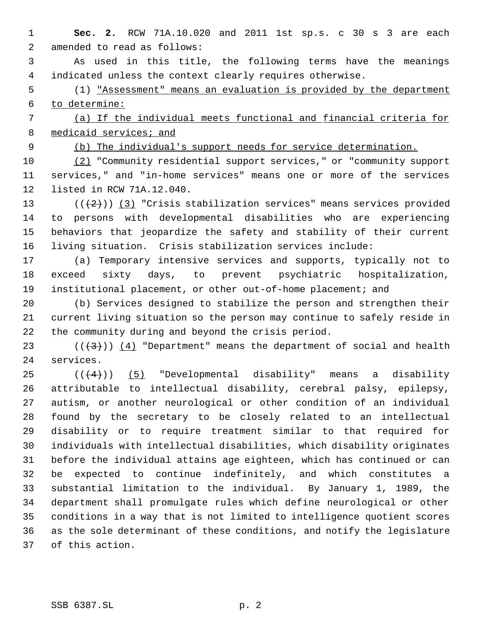- **Sec. 2.** RCW 71A.10.020 and 2011 1st sp.s. c 30 s 3 are each amended to read as follows:
- As used in this title, the following terms have the meanings indicated unless the context clearly requires otherwise.
- (1) "Assessment" means an evaluation is provided by the department to determine:

 (a) If the individual meets functional and financial criteria for medicaid services; and

(b) The individual's support needs for service determination.

 (2) "Community residential support services," or "community support services," and "in-home services" means one or more of the services listed in RCW 71A.12.040.

13 ( $(\frac{2}{2})$ ) (3) "Crisis stabilization services" means services provided to persons with developmental disabilities who are experiencing behaviors that jeopardize the safety and stability of their current living situation. Crisis stabilization services include:

 (a) Temporary intensive services and supports, typically not to exceed sixty days, to prevent psychiatric hospitalization, institutional placement, or other out-of-home placement; and

 (b) Services designed to stabilize the person and strengthen their current living situation so the person may continue to safely reside in the community during and beyond the crisis period.

23  $((+3))$   $(4)$  "Department" means the department of social and health services.

 $((4+))$  (5) "Developmental disability" means a disability attributable to intellectual disability, cerebral palsy, epilepsy, autism, or another neurological or other condition of an individual found by the secretary to be closely related to an intellectual disability or to require treatment similar to that required for individuals with intellectual disabilities, which disability originates before the individual attains age eighteen, which has continued or can be expected to continue indefinitely, and which constitutes a substantial limitation to the individual. By January 1, 1989, the department shall promulgate rules which define neurological or other conditions in a way that is not limited to intelligence quotient scores as the sole determinant of these conditions, and notify the legislature of this action.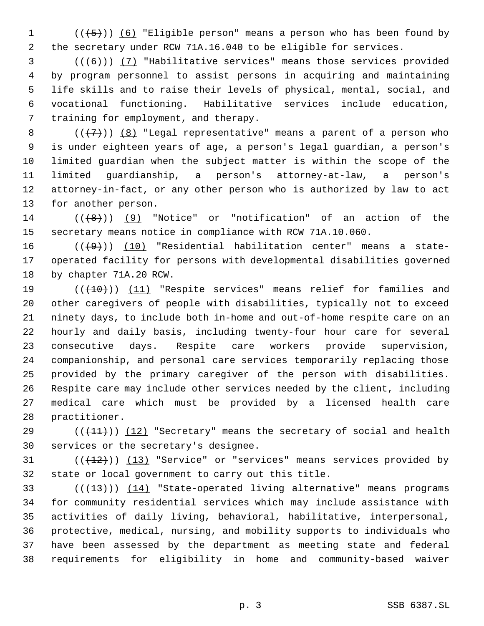1  $((+5))$   $(6)$  "Eligible person" means a person who has been found by the secretary under RCW 71A.16.040 to be eligible for services.

 (( $\left(\frac{6}{1}\right)$ ) (7) "Habilitative services" means those services provided by program personnel to assist persons in acquiring and maintaining life skills and to raise their levels of physical, mental, social, and vocational functioning. Habilitative services include education, training for employment, and therapy.

8 ( $(\overline{\{7\}})$ )  $\underline{\{8\}}$  "Legal representative" means a parent of a person who is under eighteen years of age, a person's legal guardian, a person's limited guardian when the subject matter is within the scope of the limited guardianship, a person's attorney-at-law, a person's attorney-in-fact, or any other person who is authorized by law to act for another person.

14  $((\{8\})$  (9) "Notice" or "notification" of an action of the secretary means notice in compliance with RCW 71A.10.060.

16  $((+9)^i)$  (10) "Residential habilitation center" means a state- operated facility for persons with developmental disabilities governed by chapter 71A.20 RCW.

19 (((10))) (11) "Respite services" means relief for families and other caregivers of people with disabilities, typically not to exceed ninety days, to include both in-home and out-of-home respite care on an hourly and daily basis, including twenty-four hour care for several consecutive days. Respite care workers provide supervision, companionship, and personal care services temporarily replacing those provided by the primary caregiver of the person with disabilities. Respite care may include other services needed by the client, including medical care which must be provided by a licensed health care practitioner.

29  $((+11))$   $(12)$  "Secretary" means the secretary of social and health services or the secretary's designee.

31  $((+12))$   $(13)$  "Service" or "services" means services provided by state or local government to carry out this title.

33 (((+13))) (14) "State-operated living alternative" means programs for community residential services which may include assistance with activities of daily living, behavioral, habilitative, interpersonal, protective, medical, nursing, and mobility supports to individuals who have been assessed by the department as meeting state and federal requirements for eligibility in home and community-based waiver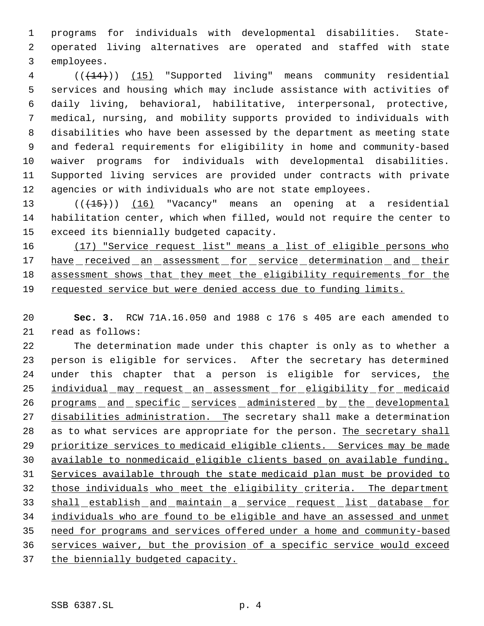programs for individuals with developmental disabilities. State- operated living alternatives are operated and staffed with state employees.

4 (( $(14)$ )) (15) "Supported living" means community residential services and housing which may include assistance with activities of daily living, behavioral, habilitative, interpersonal, protective, medical, nursing, and mobility supports provided to individuals with disabilities who have been assessed by the department as meeting state and federal requirements for eligibility in home and community-based waiver programs for individuals with developmental disabilities. Supported living services are provided under contracts with private agencies or with individuals who are not state employees.

13 ((<del>(15)</del>)) (16) "Vacancy" means an opening at a residential habilitation center, which when filled, would not require the center to exceed its biennially budgeted capacity.

16 (17) "Service request list" means a list of eligible persons who 17 have received an assessment for service determination and their assessment shows that they meet the eligibility requirements for the requested service but were denied access due to funding limits.

 **Sec. 3.** RCW 71A.16.050 and 1988 c 176 s 405 are each amended to read as follows:

 The determination made under this chapter is only as to whether a person is eligible for services. After the secretary has determined 24 under this chapter that a person is eligible for services, the 25 individual may request an assessment for eligibility for medicaid 26 programs and specific services administered by the developmental 27 disabilities administration. The secretary shall make a determination 28 as to what services are appropriate for the person. The secretary shall prioritize services to medicaid eligible clients. Services may be made available to nonmedicaid eligible clients based on available funding. Services available through the state medicaid plan must be provided to 32 those individuals who meet the eligibility criteria. The department 33 shall establish and maintain a service request list database for individuals who are found to be eligible and have an assessed and unmet need for programs and services offered under a home and community-based services waiver, but the provision of a specific service would exceed 37 the biennially budgeted capacity.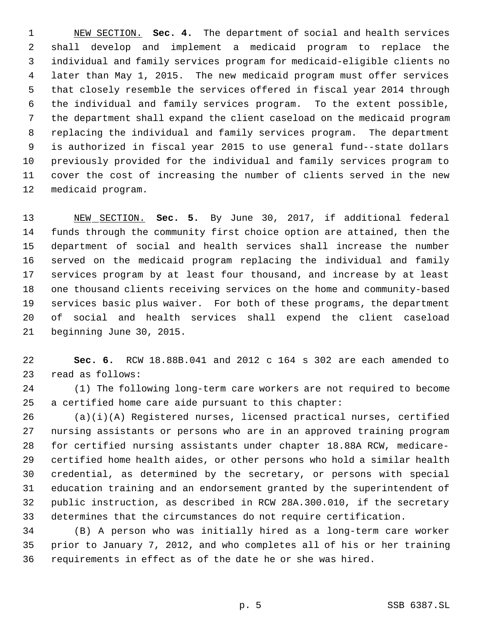NEW SECTION. **Sec. 4.** The department of social and health services shall develop and implement a medicaid program to replace the individual and family services program for medicaid-eligible clients no later than May 1, 2015. The new medicaid program must offer services that closely resemble the services offered in fiscal year 2014 through the individual and family services program. To the extent possible, the department shall expand the client caseload on the medicaid program replacing the individual and family services program. The department is authorized in fiscal year 2015 to use general fund--state dollars previously provided for the individual and family services program to cover the cost of increasing the number of clients served in the new medicaid program.

 NEW SECTION. **Sec. 5.** By June 30, 2017, if additional federal funds through the community first choice option are attained, then the department of social and health services shall increase the number served on the medicaid program replacing the individual and family services program by at least four thousand, and increase by at least one thousand clients receiving services on the home and community-based services basic plus waiver. For both of these programs, the department of social and health services shall expend the client caseload beginning June 30, 2015.

 **Sec. 6.** RCW 18.88B.041 and 2012 c 164 s 302 are each amended to read as follows:

 (1) The following long-term care workers are not required to become a certified home care aide pursuant to this chapter:

 (a)(i)(A) Registered nurses, licensed practical nurses, certified nursing assistants or persons who are in an approved training program for certified nursing assistants under chapter 18.88A RCW, medicare- certified home health aides, or other persons who hold a similar health credential, as determined by the secretary, or persons with special education training and an endorsement granted by the superintendent of public instruction, as described in RCW 28A.300.010, if the secretary determines that the circumstances do not require certification.

 (B) A person who was initially hired as a long-term care worker prior to January 7, 2012, and who completes all of his or her training requirements in effect as of the date he or she was hired.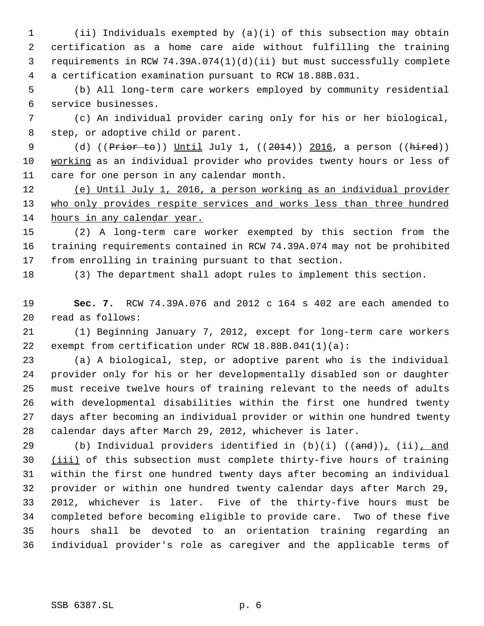(ii) Individuals exempted by (a)(i) of this subsection may obtain certification as a home care aide without fulfilling the training requirements in RCW 74.39A.074(1)(d)(ii) but must successfully complete a certification examination pursuant to RCW 18.88B.031.

 (b) All long-term care workers employed by community residential service businesses.

 (c) An individual provider caring only for his or her biological, step, or adoptive child or parent.

9 (d) ((Prior to)) Until July 1, ((2014)) 2016, a person ((hired)) working as an individual provider who provides twenty hours or less of care for one person in any calendar month.

 (e) Until July 1, 2016, a person working as an individual provider 13 who only provides respite services and works less than three hundred hours in any calendar year.

 (2) A long-term care worker exempted by this section from the training requirements contained in RCW 74.39A.074 may not be prohibited from enrolling in training pursuant to that section.

(3) The department shall adopt rules to implement this section.

 **Sec. 7.** RCW 74.39A.076 and 2012 c 164 s 402 are each amended to read as follows:

 (1) Beginning January 7, 2012, except for long-term care workers exempt from certification under RCW 18.88B.041(1)(a):

 (a) A biological, step, or adoptive parent who is the individual provider only for his or her developmentally disabled son or daughter must receive twelve hours of training relevant to the needs of adults with developmental disabilities within the first one hundred twenty days after becoming an individual provider or within one hundred twenty calendar days after March 29, 2012, whichever is later.

29 (b) Individual providers identified in  $(b)(i)$   $((and))_1$   $(i)$ , and 30 (iii) of this subsection must complete thirty-five hours of training within the first one hundred twenty days after becoming an individual provider or within one hundred twenty calendar days after March 29, 2012, whichever is later. Five of the thirty-five hours must be completed before becoming eligible to provide care. Two of these five hours shall be devoted to an orientation training regarding an individual provider's role as caregiver and the applicable terms of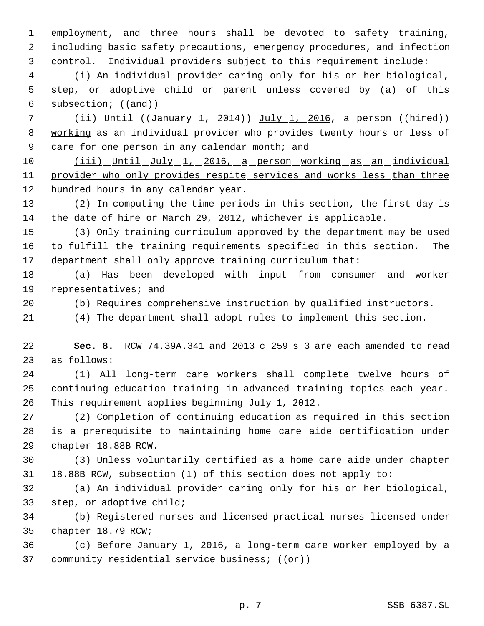employment, and three hours shall be devoted to safety training, including basic safety precautions, emergency procedures, and infection control. Individual providers subject to this requirement include:

 (i) An individual provider caring only for his or her biological, step, or adoptive child or parent unless covered by (a) of this 6 subsection;  $((and))$ 

7 (ii) Until ((January 1, 2014)) July 1, 2016, a person ((hired)) working as an individual provider who provides twenty hours or less of 9 care for one person in any calendar month; and

10 (iii) Until July 1, 2016, a person working as an individual provider who only provides respite services and works less than three hundred hours in any calendar year.

 (2) In computing the time periods in this section, the first day is the date of hire or March 29, 2012, whichever is applicable.

 (3) Only training curriculum approved by the department may be used to fulfill the training requirements specified in this section. The department shall only approve training curriculum that:

 (a) Has been developed with input from consumer and worker representatives; and

(b) Requires comprehensive instruction by qualified instructors.

(4) The department shall adopt rules to implement this section.

 **Sec. 8.** RCW 74.39A.341 and 2013 c 259 s 3 are each amended to read as follows:

 (1) All long-term care workers shall complete twelve hours of continuing education training in advanced training topics each year. This requirement applies beginning July 1, 2012.

 (2) Completion of continuing education as required in this section is a prerequisite to maintaining home care aide certification under chapter 18.88B RCW.

 (3) Unless voluntarily certified as a home care aide under chapter 18.88B RCW, subsection (1) of this section does not apply to:

 (a) An individual provider caring only for his or her biological, step, or adoptive child;

 (b) Registered nurses and licensed practical nurses licensed under chapter 18.79 RCW;

 (c) Before January 1, 2016, a long-term care worker employed by a 37 community residential service business;  $((\theta \cdot \hat{r}))$